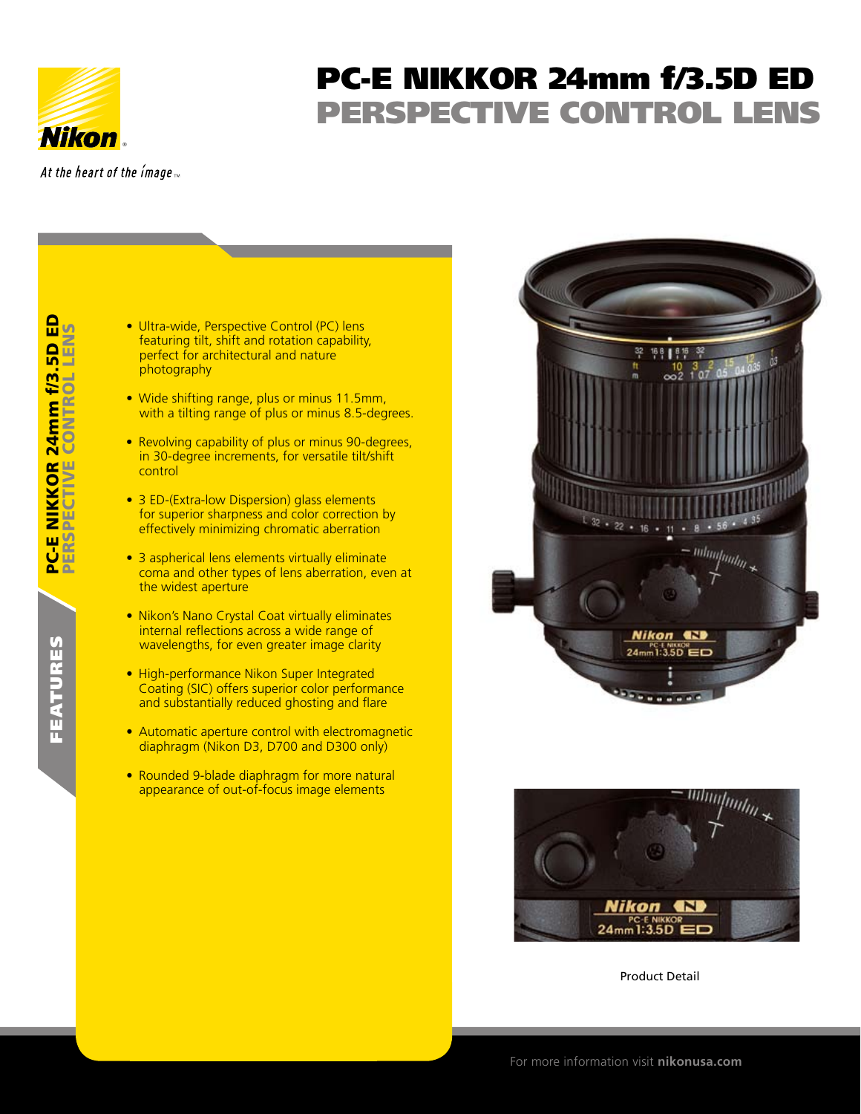

features

FEATURES

PC-E NIKKOR 24mm

PC-E1

PERSPECTIVE CONTROL LENS

**NIKKOR 24mm f/3.5D I**<br>PECTIVE CONTROL LEN

f/3.5D ED

 $\frac{D}{n}$ 

## PC-E NIKKOR 24mm f/3.5D ED PERSPECTIVE CONTROL LENS

At the heart of the image  $\overline{m}$ 

- **Ultra-wide, Perspective Control (PC) lens** featuring tilt, shift and rotation capability, perfect for architectural and nature photography
- Wide shifting range, plus or minus 11.5mm, with a tilting range of plus or minus 8.5-degrees.
- Revolving capability of plus or minus 90-degrees, in 30-degree increments, for versatile tilt/shift control
- 3 ED-(Extra-low Dispersion) glass elements for superior sharpness and color correction by effectively minimizing chromatic aberration
- 3 aspherical lens elements virtually eliminate coma and other types of lens aberration, even at the widest aperture
- Nikon's Nano Crystal Coat virtually eliminates internal reflections across a wide range of wavelengths, for even greater image clarity
- High-performance Nikon Super Integrated Coating (SIC) offers superior color performance and substantially reduced ghosting and flare
- Automatic aperture control with electromagnetic diaphragm (Nikon D3, D700 and D300 only)
- Rounded 9-blade diaphragm for more natural appearance of out-of-focus image elements





Product Detail